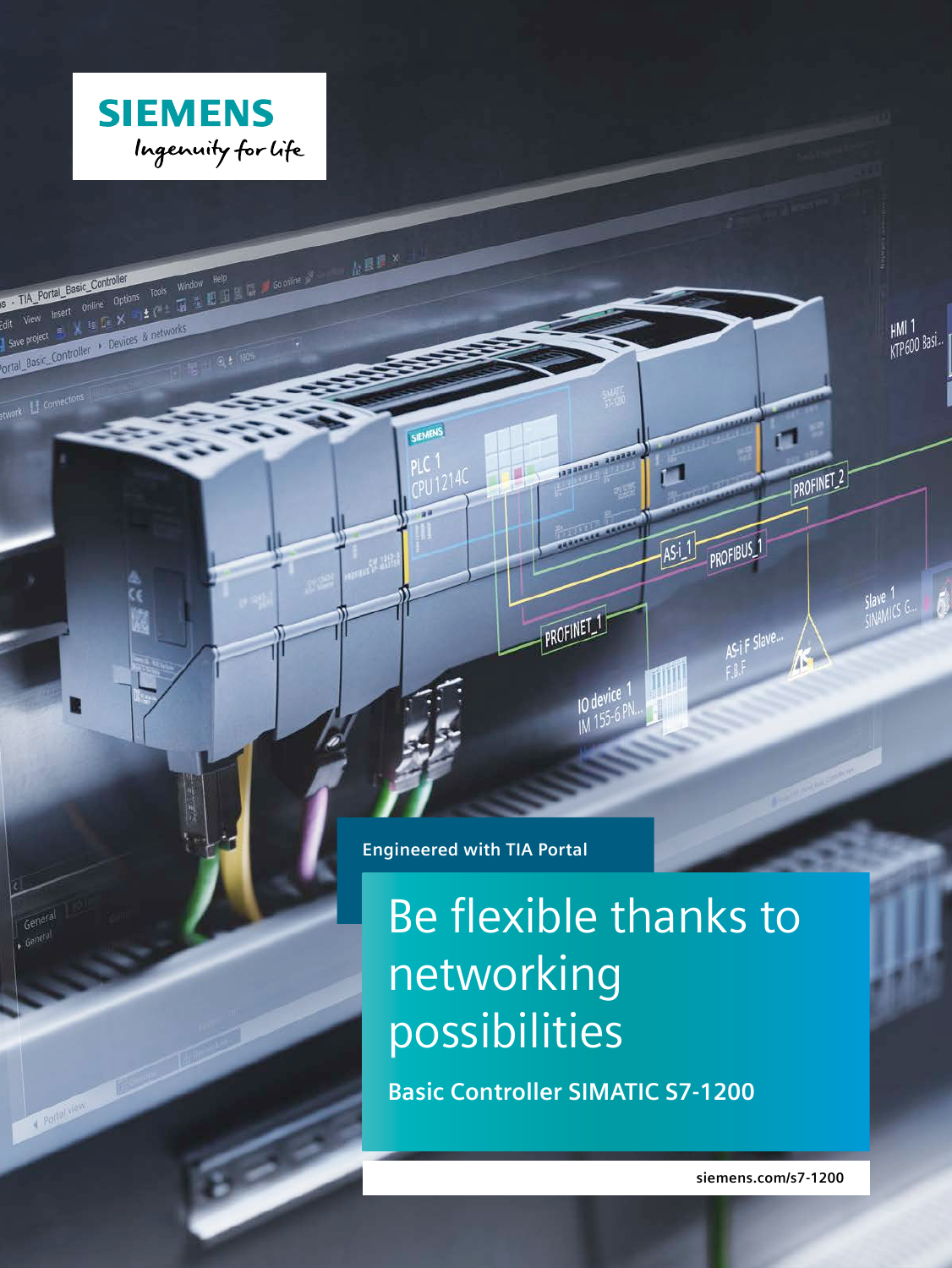

S - TIA Portal Basic Controller<br>Edit View Insert Online Options Tools Window Help<br>Latt View Insert Online Options & networks<br>I save project E X is Le X and the S a networks

State View Insert Wine Le X 13 1<br>I save project E X 12 Le X 13 1<br>Cortal Basic Controller + Devices & networks

Gen

**Transfer** 

 $h^{\text{BB}}$ 

**Engineered with TIA Portal**

# Be flexible thanks to networking possibilities

1324324 23432

PROFINET<sub>1</sub>

10 device

**Basic Controller SIMATIC S7-1200**

**siemens.com/s7-1200**

HMI 1<br>KTP600 Basi.

Slave 1<br>CINAMICS G.

 $\blacksquare$ 

PROFIBUS<sub>-1</sub>

AS-iF Slave.

 $Asi$ 

TIL

PROFINET<sub>2</sub>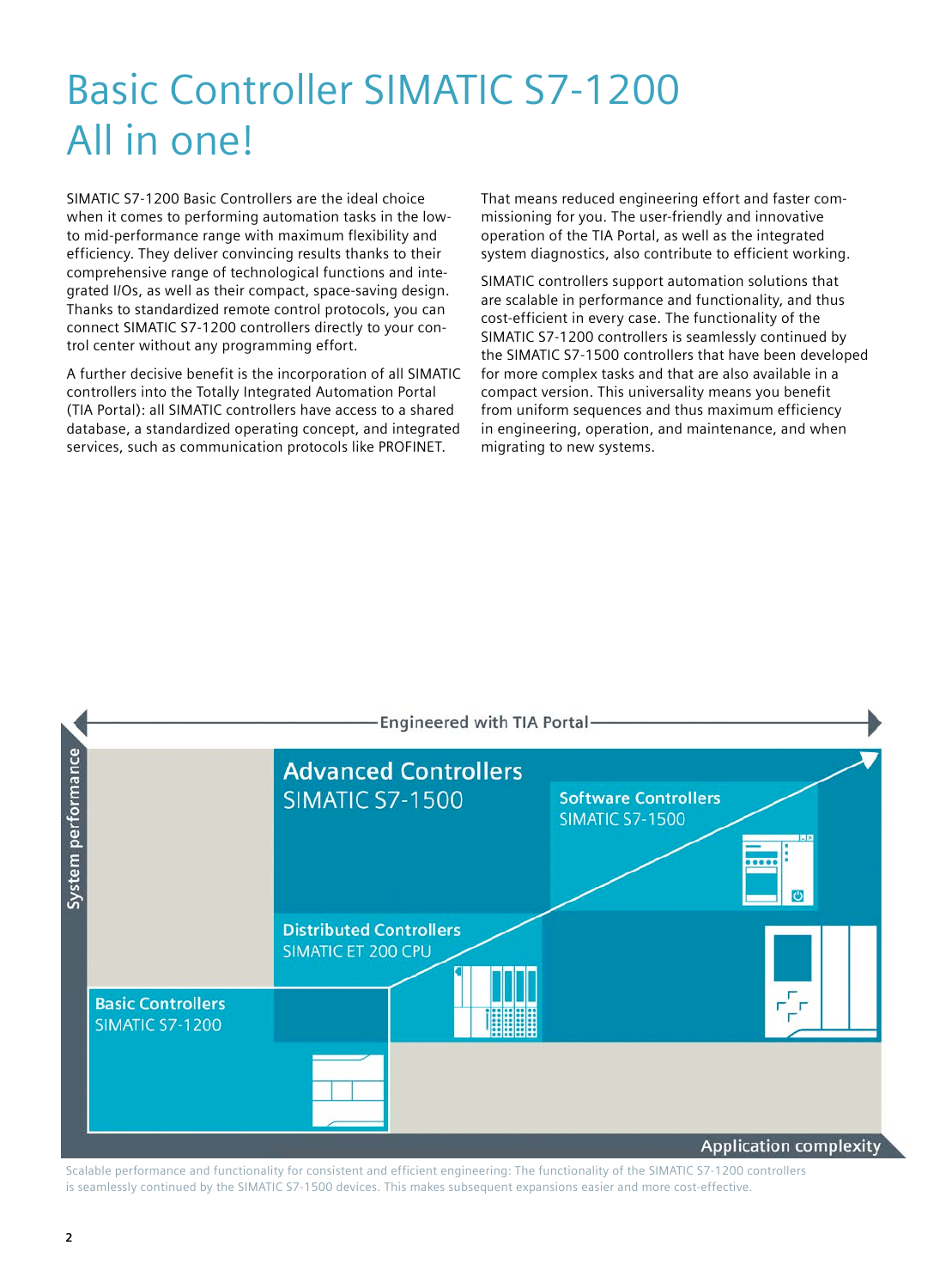# Basic Controller SIMATIC S7-1200 All in one!

SIMATIC S7-1200 Basic Controllers are the ideal choice when it comes to performing automation tasks in the lowto mid-performance range with maximum flexibility and efficiency. They deliver convincing results thanks to their comprehensive range of technological functions and integrated I/Os, as well as their compact, space-saving design. Thanks to standardized remote control protocols, you can connect SIMATIC S7-1200 controllers directly to your control center without any programming effort.

A further decisive benefit is the incorporation of all SIMATIC controllers into the Totally Integrated Automation Portal (TIA Portal): all SIMATIC controllers have access to a shared database, a standardized operating concept, and integrated services, such as communication protocols like PROFINET.

That means reduced engineering effort and faster commissioning for you. The user-friendly and innovative operation of the TIA Portal, as well as the integrated system diagnostics, also contribute to efficient working.

SIMATIC controllers support automation solutions that are scalable in performance and functionality, and thus cost- efficient in every case. The functionality of the SIMATIC S7-1200 controllers is seamlessly continued by the SIMATIC S7-1500 controllers that have been developed for more complex tasks and that are also available in a compact version. This universality means you benefit from uniform sequences and thus maximum efficiency in engineering, operation, and maintenance, and when migrating to new systems.



Scalable performance and functionality for consistent and efficient engineering: The functionality of the SIMATIC S7-1200 controllers is seamlessly continued by the SIMATIC S7-1500 devices. This makes subsequent expansions easier and more cost-effective.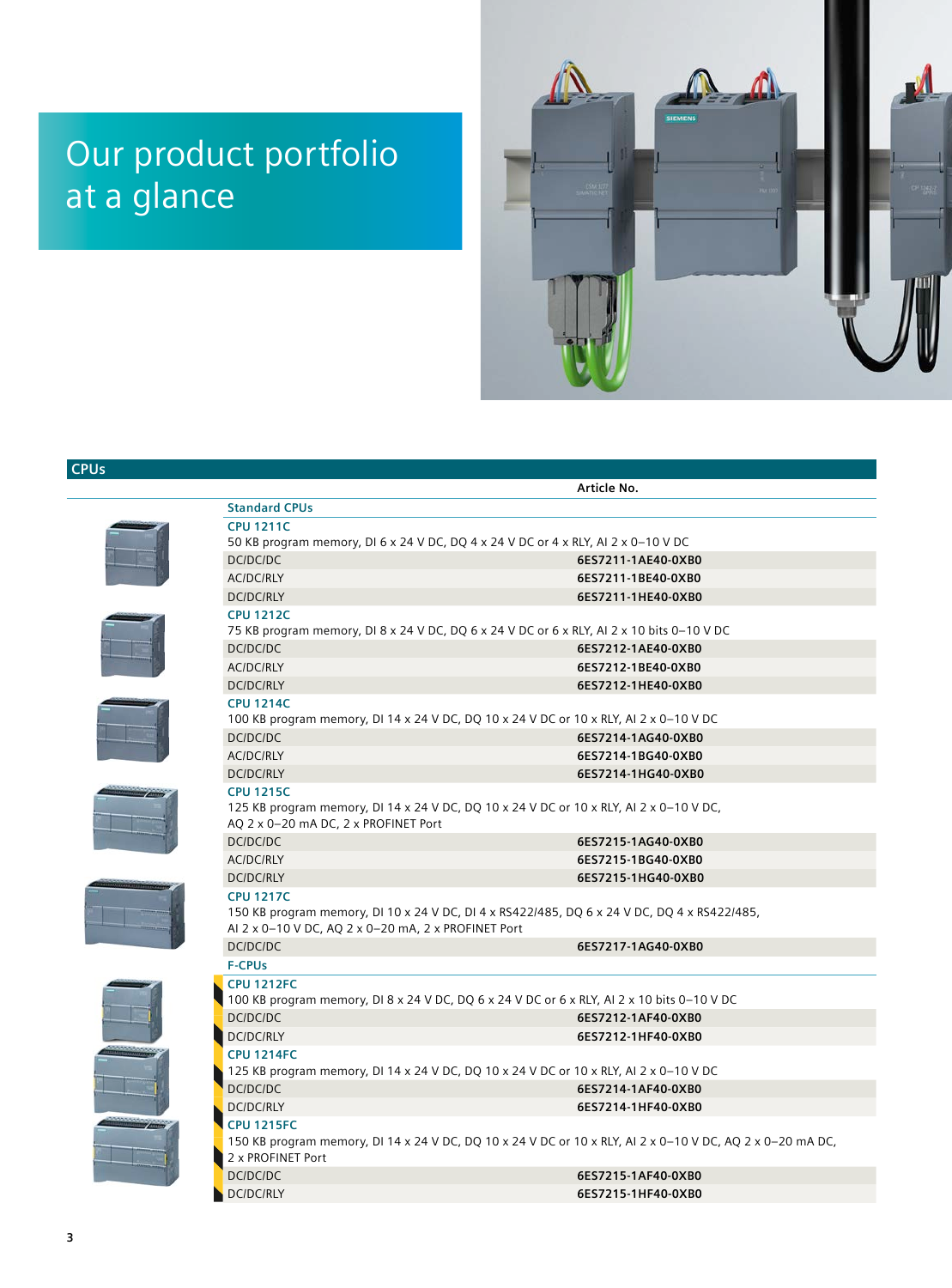## Our product portfolio at a glance



## **CPUs**

|                                                                                            | Article No.                                                                                               |
|--------------------------------------------------------------------------------------------|-----------------------------------------------------------------------------------------------------------|
| <b>Standard CPUs</b>                                                                       |                                                                                                           |
| <b>CPU 1211C</b>                                                                           |                                                                                                           |
| 50 KB program memory, DI 6 x 24 V DC, DQ 4 x 24 V DC or 4 x RLY, AI 2 x 0-10 V DC          |                                                                                                           |
| DC/DC/DC                                                                                   | 6ES7211-1AE40-0XB0                                                                                        |
| <b>AC/DC/RLY</b>                                                                           | 6ES7211-1BE40-0XB0                                                                                        |
| <b>DC/DC/RLY</b>                                                                           | 6ES7211-1HE40-0XB0                                                                                        |
| <b>CPU 1212C</b>                                                                           |                                                                                                           |
| 75 KB program memory, DI 8 x 24 V DC, DQ 6 x 24 V DC or 6 x RLY, AI 2 x 10 bits 0-10 V DC  |                                                                                                           |
| DC/DC/DC                                                                                   | 6ES7212-1AE40-0XB0                                                                                        |
| <b>AC/DC/RLY</b>                                                                           | 6ES7212-1BE40-0XB0                                                                                        |
| <b>DC/DC/RLY</b>                                                                           | 6ES7212-1HE40-0XB0                                                                                        |
| <b>CPU 1214C</b>                                                                           |                                                                                                           |
| 100 KB program memory, DI 14 x 24 V DC, DQ 10 x 24 V DC or 10 x RLY, AI 2 x 0-10 V DC      |                                                                                                           |
| DC/DC/DC                                                                                   | 6ES7214-1AG40-0XB0                                                                                        |
| <b>AC/DC/RLY</b>                                                                           | 6ES7214-1BG40-0XB0                                                                                        |
| <b>DC/DC/RLY</b>                                                                           | 6ES7214-1HG40-0XB0                                                                                        |
| <b>CPU 1215C</b>                                                                           |                                                                                                           |
| 125 KB program memory, DI 14 x 24 V DC, DQ 10 x 24 V DC or 10 x RLY, AI 2 x 0-10 V DC,     |                                                                                                           |
| AQ 2 x 0-20 mA DC, 2 x PROFINET Port                                                       |                                                                                                           |
| DC/DC/DC                                                                                   | 6ES7215-1AG40-0XB0                                                                                        |
| <b>AC/DC/RLY</b>                                                                           | 6ES7215-1BG40-0XB0                                                                                        |
| <b>DC/DC/RLY</b>                                                                           | 6ES7215-1HG40-0XB0                                                                                        |
| <b>CPU 1217C</b>                                                                           |                                                                                                           |
|                                                                                            | 150 KB program memory, DI 10 x 24 V DC, DI 4 x RS422/485, DQ 6 x 24 V DC, DQ 4 x RS422/485,               |
| AI 2 x 0-10 V DC, AQ 2 x 0-20 mA, 2 x PROFINET Port                                        |                                                                                                           |
| DC/DC/DC                                                                                   | 6ES7217-1AG40-0XB0                                                                                        |
| <b>F-CPUs</b>                                                                              |                                                                                                           |
| <b>CPU 1212FC</b>                                                                          |                                                                                                           |
| 100 KB program memory, DI 8 x 24 V DC, DQ 6 x 24 V DC or 6 x RLY, AI 2 x 10 bits 0-10 V DC |                                                                                                           |
| DC/DC/DC                                                                                   | 6ES7212-1AF40-0XB0                                                                                        |
| <b>DC/DC/RLY</b>                                                                           | 6ES7212-1HF40-0XB0                                                                                        |
| <b>CPU 1214FC</b>                                                                          |                                                                                                           |
| 125 KB program memory, DI 14 x 24 V DC, DQ 10 x 24 V DC or 10 x RLY, AI 2 x 0-10 V DC      |                                                                                                           |
| DC/DC/DC                                                                                   | 6ES7214-1AF40-0XB0                                                                                        |
| DC/DC/RLY                                                                                  | 6ES7214-1HF40-0XB0                                                                                        |
| <b>CPU 1215FC</b>                                                                          |                                                                                                           |
|                                                                                            | 150 KB program memory, DI 14 x 24 V DC, DQ 10 x 24 V DC or 10 x RLY, AI 2 x 0-10 V DC, AQ 2 x 0-20 mA DC, |
| 2 x PROFINET Port                                                                          |                                                                                                           |
| DC/DC/DC                                                                                   | 6ES7215-1AF40-0XB0                                                                                        |
| <b>DC/DC/RLY</b>                                                                           | 6ES7215-1HF40-0XB0                                                                                        |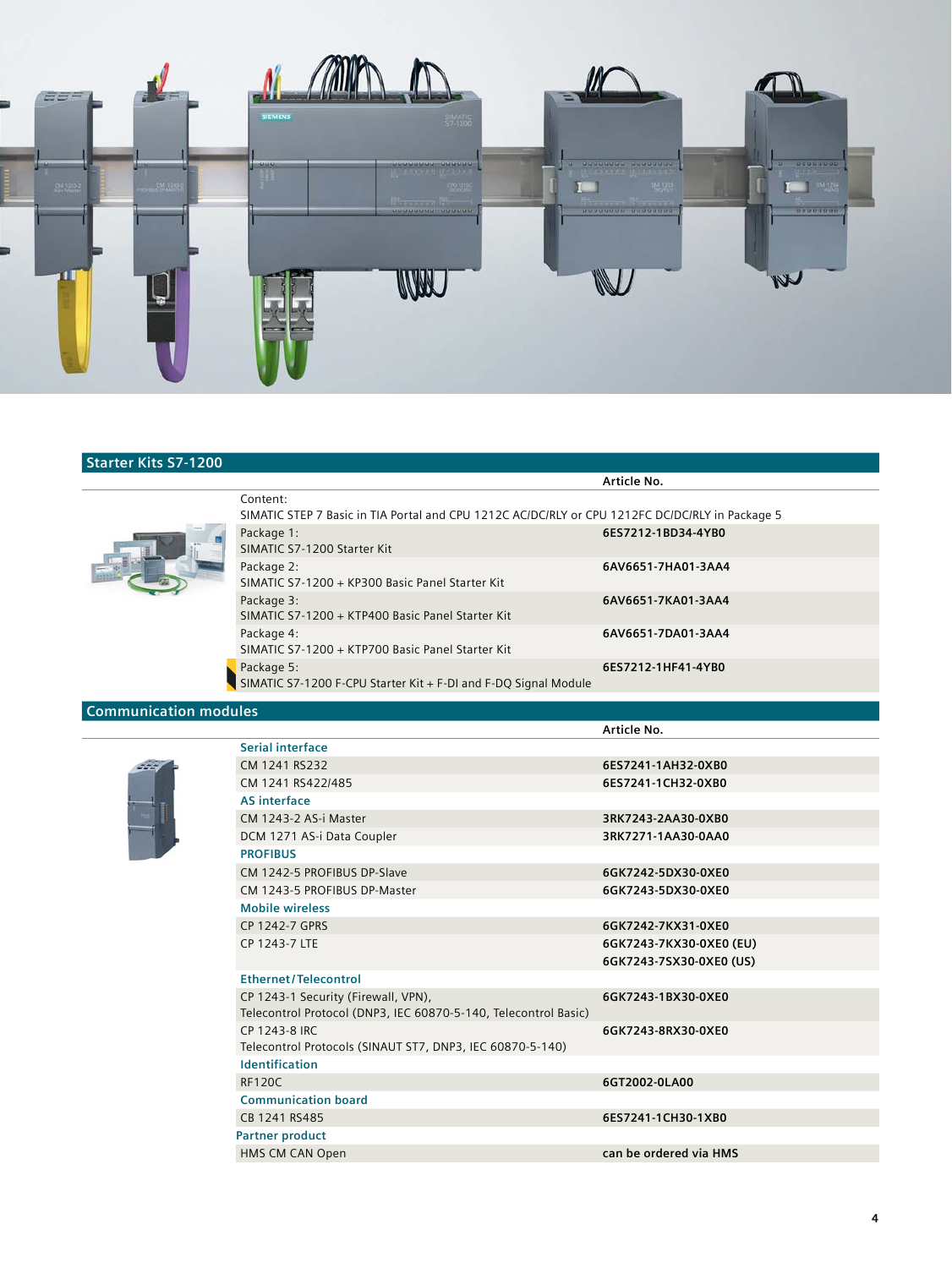

## **Starter Kits S7-1200**



|                                                                                                             | Article No.        |  |
|-------------------------------------------------------------------------------------------------------------|--------------------|--|
| Content:<br>SIMATIC STEP 7 Basic in TIA Portal and CPU 1212C AC/DC/RLY or CPU 1212FC DC/DC/RLY in Package 5 |                    |  |
| Package 1:<br>SIMATIC S7-1200 Starter Kit                                                                   | 6ES7212-1BD34-4YB0 |  |
| Package 2:<br>SIMATIC S7-1200 + KP300 Basic Panel Starter Kit                                               | 6AV6651-7HA01-3AA4 |  |
| Package 3:<br>SIMATIC S7-1200 + KTP400 Basic Panel Starter Kit                                              | 6AV6651-7KA01-3AA4 |  |
| Package 4:<br>SIMATIC S7-1200 + KTP700 Basic Panel Starter Kit                                              | 6AV6651-7DA01-3AA4 |  |
| $\blacktriangleright$ Package 5:<br>SIMATIC S7-1200 F-CPU Starter Kit + F-DI and F-DQ Signal Module         | 6ES7212-1HF41-4YB0 |  |
|                                                                                                             |                    |  |

### **Communication modules**

|  | ٠ |  |
|--|---|--|
|  |   |  |
|  |   |  |
|  |   |  |

|                                                                 | Article No.             |
|-----------------------------------------------------------------|-------------------------|
| Serial interface                                                |                         |
| CM 1241 RS232                                                   | 6ES7241-1AH32-0XB0      |
| CM 1241 RS422/485                                               | 6ES7241-1CH32-0XB0      |
| <b>AS interface</b>                                             |                         |
| CM 1243-2 AS-i Master                                           | 3RK7243-2AA30-0XB0      |
| DCM 1271 AS-i Data Coupler                                      | 3RK7271-1AA30-0AA0      |
| <b>PROFIBUS</b>                                                 |                         |
| CM 1242-5 PROFIBUS DP-Slave                                     | 6GK7242-5DX30-0XE0      |
| CM 1243-5 PROFIBUS DP-Master                                    | 6GK7243-5DX30-0XE0      |
| <b>Mobile wireless</b>                                          |                         |
| CP 1242-7 GPRS                                                  | 6GK7242-7KX31-0XF0      |
| CP 1243-7 LTE                                                   | 6GK7243-7KX30-0XE0 (EU) |
|                                                                 | 6GK7243-7SX30-0XE0 (US) |
| <b>Ethernet/Telecontrol</b>                                     |                         |
| CP 1243-1 Security (Firewall, VPN),                             | 6GK7243-1BX30-0XE0      |
| Telecontrol Protocol (DNP3, IEC 60870-5-140, Telecontrol Basic) |                         |
| CP 1243-8 IRC                                                   | 6GK7243-8RX30-0XE0      |
| Telecontrol Protocols (SINAUT ST7, DNP3, IEC 60870-5-140)       |                         |
| <b>Identification</b>                                           |                         |
| <b>RF120C</b>                                                   | 6GT2002-0LA00           |
| <b>Communication board</b>                                      |                         |
| CB 1241 RS485                                                   | 6ES7241-1CH30-1XB0      |
| <b>Partner product</b>                                          |                         |
| HMS CM CAN Open                                                 | can be ordered via HMS  |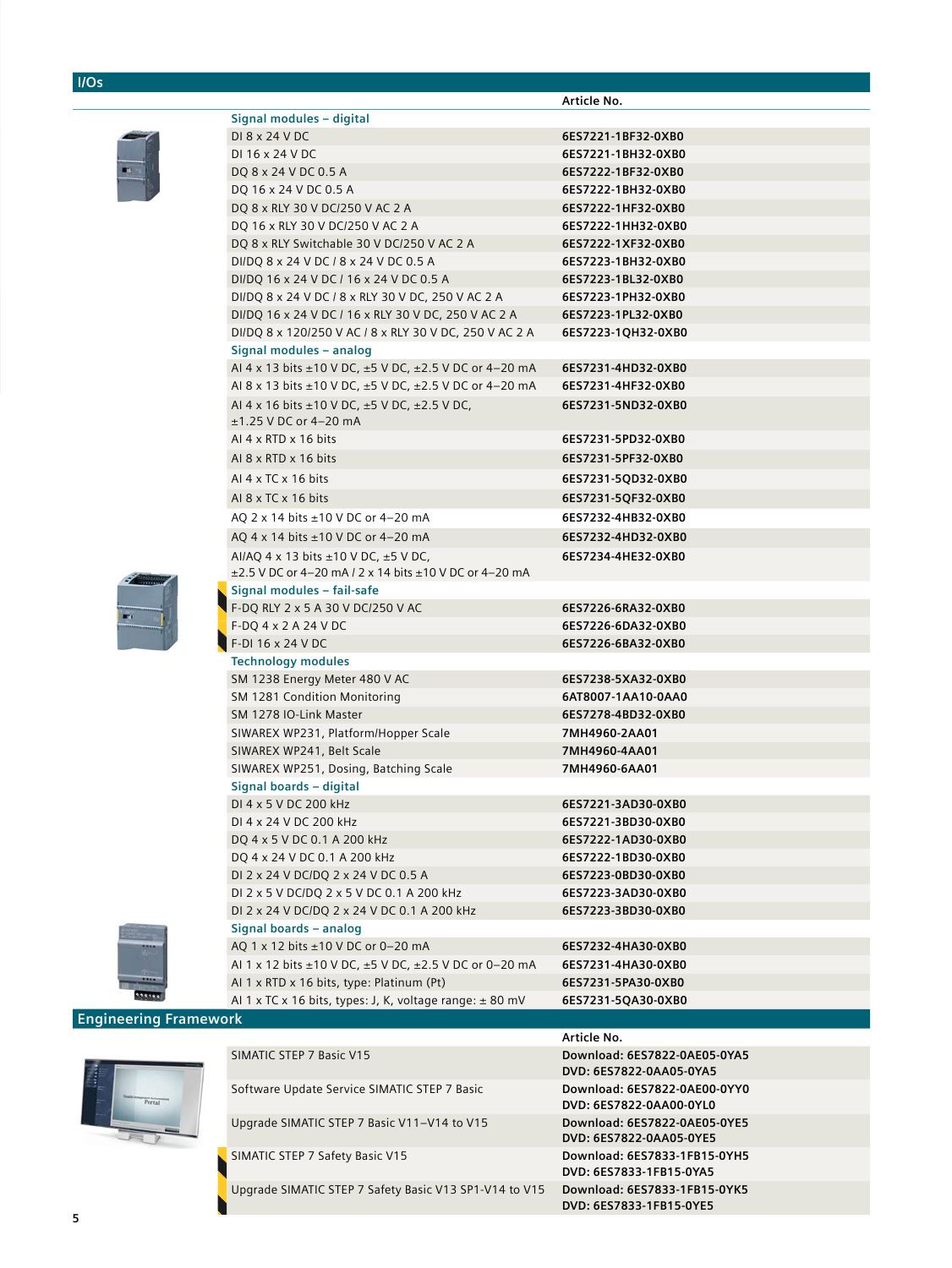## **I/Os**

|           |                                                                                                                    | Article No.                  |
|-----------|--------------------------------------------------------------------------------------------------------------------|------------------------------|
|           | Signal modules - digital                                                                                           |                              |
|           | DI 8 x 24 V DC                                                                                                     | 6ES7221-1BF32-0XB0           |
|           | DI 16 x 24 V DC                                                                                                    | 6ES7221-1BH32-0XB0           |
|           | DQ 8 x 24 V DC 0.5 A                                                                                               | 6ES7222-1BF32-0XB0           |
|           | DQ 16 x 24 V DC 0.5 A                                                                                              | 6ES7222-1BH32-0XB0           |
|           | DQ 8 x RLY 30 V DC/250 V AC 2 A                                                                                    | 6ES7222-1HF32-0XB0           |
|           | DQ 16 x RLY 30 V DC/250 V AC 2 A                                                                                   | 6ES7222-1HH32-0XB0           |
|           | DQ 8 x RLY Switchable 30 V DC/250 V AC 2 A                                                                         | 6ES7222-1XF32-0XB0           |
|           | DI/DQ 8 x 24 V DC / 8 x 24 V DC 0.5 A                                                                              | 6ES7223-1BH32-0XB0           |
|           | DI/DQ 16 x 24 V DC / 16 x 24 V DC 0.5 A                                                                            | 6ES7223-1BL32-0XB0           |
|           | DI/DQ 8 x 24 V DC / 8 x RLY 30 V DC, 250 V AC 2 A                                                                  | 6ES7223-1PH32-0XB0           |
|           | DI/DQ 16 x 24 V DC / 16 x RLY 30 V DC, 250 V AC 2 A                                                                | 6ES7223-1PL32-0XB0           |
|           | DI/DQ 8 x 120/250 V AC / 8 x RLY 30 V DC, 250 V AC 2 A                                                             | 6ES7223-1QH32-0XB0           |
|           | Signal modules - analog                                                                                            |                              |
|           | AI 4 x 13 bits $\pm$ 10 V DC, $\pm$ 5 V DC, $\pm$ 2.5 V DC or 4–20 mA                                              | 6ES7231-4HD32-0XB0           |
|           | Al 8 x 13 bits $\pm$ 10 V DC, $\pm$ 5 V DC, $\pm$ 2.5 V DC or 4–20 mA                                              | 6ES7231-4HF32-0XB0           |
|           | AI 4 x 16 bits $\pm$ 10 V DC, $\pm$ 5 V DC, $\pm$ 2.5 V DC,                                                        | 6ES7231-5ND32-0XB0           |
|           | ±1.25 V DC or 4-20 mA                                                                                              |                              |
|           | AI $4 \times$ RTD $\times$ 16 bits                                                                                 | 6ES7231-5PD32-0XB0           |
|           | AI $8 \times$ RTD $\times$ 16 bits                                                                                 | 6ES7231-5PF32-0XB0           |
|           | AI $4 \times TC \times 16$ bits                                                                                    | 6ES7231-5QD32-0XB0           |
|           | AI $8 \times TC \times 16$ bits                                                                                    | 6ES7231-5QF32-0XB0           |
|           | AQ 2 x 14 bits ±10 V DC or 4-20 mA                                                                                 | 6ES7232-4HB32-0XB0           |
|           | AQ 4 x 14 bits $\pm$ 10 V DC or 4–20 mA                                                                            | 6ES7232-4HD32-0XB0           |
|           |                                                                                                                    |                              |
|           | AI/AQ 4 x 13 bits $\pm$ 10 V DC, $\pm$ 5 V DC,<br>$\pm$ 2.5 V DC or 4–20 mA / 2 x 14 bits $\pm$ 10 V DC or 4–20 mA | 6ES7234-4HE32-0XB0           |
|           | Signal modules - fail-safe                                                                                         |                              |
|           | F-DQ RLY 2 x 5 A 30 V DC/250 V AC                                                                                  | 6ES7226-6RA32-0XB0           |
|           | F-DQ 4 x 2 A 24 V DC                                                                                               | 6ES7226-6DA32-0XB0           |
|           | F-DI 16 x 24 V DC                                                                                                  | 6ES7226-6BA32-0XB0           |
|           | <b>Technology modules</b>                                                                                          |                              |
|           | SM 1238 Energy Meter 480 V AC                                                                                      | 6ES7238-5XA32-0XB0           |
|           | SM 1281 Condition Monitoring                                                                                       | 6AT8007-1AA10-0AA0           |
|           | SM 1278 IO-Link Master                                                                                             | 6ES7278-4BD32-0XB0           |
|           | SIWAREX WP231, Platform/Hopper Scale                                                                               | 7MH4960-2AA01                |
|           | SIWAREX WP241, Belt Scale                                                                                          | 7MH4960-4AA01                |
|           | SIWAREX WP251, Dosing, Batching Scale                                                                              | 7MH4960-6AA01                |
|           | Signal boards - digital                                                                                            |                              |
|           | DI 4 x 5 V DC 200 kHz                                                                                              | 6ES7221-3AD30-0XB0           |
|           | DI 4 x 24 V DC 200 kHz                                                                                             | 6ES7221-3BD30-0XB0           |
|           | DQ 4 x 5 V DC 0.1 A 200 kHz                                                                                        | 6ES7222-1AD30-0XB0           |
|           | DQ 4 x 24 V DC 0.1 A 200 kHz                                                                                       | 6ES7222-1BD30-0XB0           |
|           | DI 2 x 24 V DC/DQ 2 x 24 V DC 0.5 A                                                                                | 6ES7223-0BD30-0XB0           |
|           | DI 2 x 5 V DC/DQ 2 x 5 V DC 0.1 A 200 kHz                                                                          | 6ES7223-3AD30-0XB0           |
|           | DI 2 x 24 V DC/DQ 2 x 24 V DC 0.1 A 200 kHz                                                                        | 6ES7223-3BD30-0XB0           |
|           | Signal boards - analog                                                                                             |                              |
|           | AQ 1 x 12 bits ±10 V DC or 0-20 mA                                                                                 | 6ES7232-4HA30-0XB0           |
|           | Al 1 x 12 bits ±10 V DC, ±5 V DC, ±2.5 V DC or 0-20 mA                                                             | 6ES7231-4HA30-0XB0           |
|           | AI 1 x RTD x 16 bits, type: Platinum (Pt)                                                                          | 6ES7231-5PA30-0XB0           |
|           | Al 1 x TC x 16 bits, types: J, K, voltage range: $\pm$ 80 mV                                                       | 6ES7231-5QA30-0XB0           |
| Framework |                                                                                                                    |                              |
|           |                                                                                                                    | Article No.                  |
|           | SIMATIC STEP 7 Basic V15                                                                                           | Download: 6ES7822-0AE05-0YA5 |
|           |                                                                                                                    |                              |



**Berne** 

**Engineering** 

|                                                        | ALULIE NU.                                              |
|--------------------------------------------------------|---------------------------------------------------------|
| SIMATIC STEP 7 Basic V15                               | Download: 6ES7822-0AE05-0YA5<br>DVD: 6ES7822-0AA05-0YA5 |
| Software Update Service SIMATIC STEP 7 Basic           | Download: 6ES7822-0AE00-0YY0<br>DVD: 6ES7822-0AA00-0YL0 |
| Upgrade SIMATIC STEP 7 Basic V11-V14 to V15            | Download: 6ES7822-0AE05-0YE5<br>DVD: 6ES7822-0AA05-0YE5 |
| SIMATIC STEP 7 Safety Basic V15                        | Download: 6ES7833-1FB15-0YH5<br>DVD: 6ES7833-1FB15-0YA5 |
| Upgrade SIMATIC STEP 7 Safety Basic V13 SP1-V14 to V15 | Download: 6ES7833-1FB15-0YK5<br>DVD: 6ES7833-1FB15-0YE5 |
|                                                        |                                                         |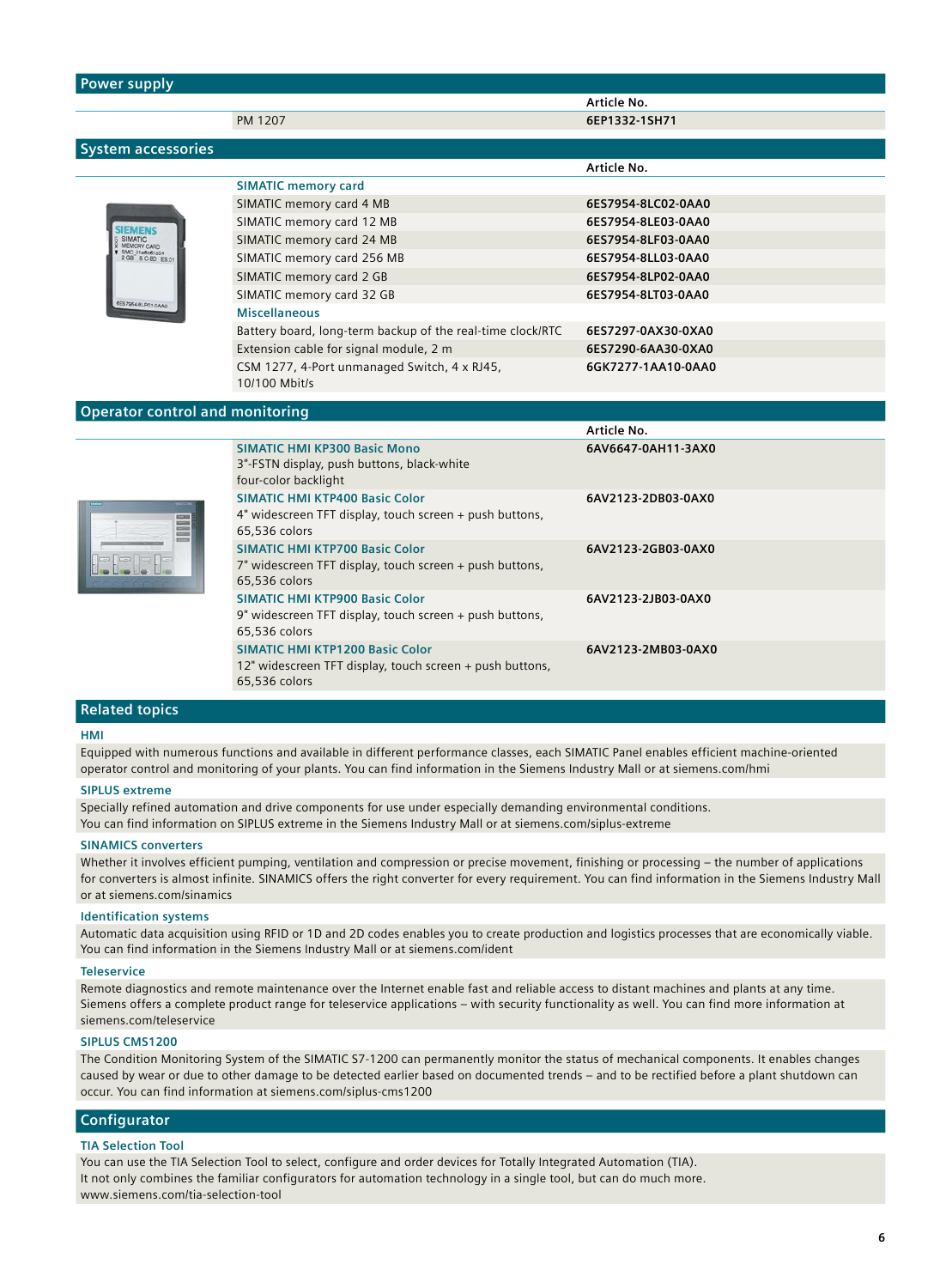| <b>Power supply</b>                    |                                                                           |                    |
|----------------------------------------|---------------------------------------------------------------------------|--------------------|
|                                        |                                                                           | Article No.        |
|                                        | PM 1207                                                                   | 6EP1332-1SH71      |
|                                        |                                                                           |                    |
| <b>System accessories</b>              |                                                                           |                    |
|                                        |                                                                           | Article No.        |
|                                        | <b>SIMATIC memory card</b>                                                |                    |
|                                        | SIMATIC memory card 4 MB                                                  | 6ES7954-8LC02-0AA0 |
|                                        | SIMATIC memory card 12 MB                                                 | 6ES7954-8LE03-0AA0 |
| <b>EMORY CARD</b>                      | SIMATIC memory card 24 MB                                                 | 6ES7954-8LF03-0AA0 |
| SMC 01e6c61004<br>2 GB SC-BD ES.01     | SIMATIC memory card 256 MB                                                | 6ES7954-8LL03-0AA0 |
|                                        | SIMATIC memory card 2 GB                                                  | 6ES7954-8LP02-0AA0 |
| ES7954-8LP01-0AA                       | SIMATIC memory card 32 GB                                                 | 6ES7954-8LT03-0AA0 |
|                                        | <b>Miscellaneous</b>                                                      |                    |
|                                        | Battery board, long-term backup of the real-time clock/RTC                | 6ES7297-0AX30-0XA0 |
|                                        | Extension cable for signal module, 2 m                                    | 6ES7290-6AA30-0XA0 |
|                                        | CSM 1277, 4-Port unmanaged Switch, 4 x RJ45,                              | 6GK7277-1AA10-0AA0 |
|                                        | 10/100 Mbit/s                                                             |                    |
|                                        |                                                                           |                    |
|                                        |                                                                           |                    |
| <b>Operator control and monitoring</b> |                                                                           | Article No.        |
|                                        | <b>SIMATIC HMI KP300 Basic Mono</b>                                       | 6AV6647-0AH11-3AX0 |
|                                        |                                                                           |                    |
|                                        | 3"-FSTN display, push buttons, black-white<br>four-color backlight        |                    |
|                                        | <b>SIMATIC HMI KTP400 Basic Color</b>                                     | 6AV2123-2DB03-0AX0 |
|                                        | 4" widescreen TFT display, touch screen + push buttons,                   |                    |
|                                        | 65.536 colors                                                             |                    |
|                                        | <b>SIMATIC HMI KTP700 Basic Color</b>                                     | 6AV2123-2GB03-0AX0 |
|                                        | 7" widescreen TFT display, touch screen + push buttons,                   |                    |
|                                        | 65,536 colors                                                             |                    |
|                                        | <b>SIMATIC HMI KTP900 Basic Color</b>                                     | 6AV2123-2JB03-0AX0 |
|                                        | 9" widescreen TFT display, touch screen + push buttons,                   |                    |
|                                        | 65,536 colors                                                             |                    |
|                                        | <b>SIMATIC HMI KTP1200 Basic Color</b>                                    | 6AV2123-2MB03-0AX0 |
|                                        | 12" widescreen TFT display, touch screen + push buttons,<br>65,536 colors |                    |

#### **Related topics**

#### **HMI**

Equipped with numerous functions and available in different performance classes, each SIMATIC Panel enables efficient machine-oriented operator control and monitoring of your plants. You can find information in the Siemens Industry Mall or at siemens.com/hmi

#### **SIPLUS extreme**

Specially refined automation and drive components for use under especially demanding environmental conditions. You can find information on SIPLUS extreme in the Siemens Industry Mall or at siemens.com/siplus-extreme

#### **SINAMICS converters**

Whether it involves efficient pumping, ventilation and compression or precise movement, finishing or processing – the number of applications for converters is almost infinite. SINAMICS offers the right converter for every requirement. You can find information in the Siemens Industry Mall or at siemens.com/sinamics

#### **Identification systems**

Automatic data acquisition using RFID or 1D and 2D codes enables you to create production and logistics processes that are economically viable. You can find information in the Siemens Industry Mall or at siemens.com/ident

#### **Teleservice**

Remote diagnostics and remote maintenance over the Internet enable fast and reliable access to distant machines and plants at any time. Siemens offers a complete product range for teleservice applications – with security functionality as well. You can find more information at siemens.com/teleservice

#### **SIPLUS CMS1200**

The Condition Monitoring System of the SIMATIC S7-1200 can permanently monitor the status of mechanical components. It enables changes caused by wear or due to other damage to be detected earlier based on documented trends – and to be rectified before a plant shutdown can occur. You can find information at siemens.com/siplus-cms1200

#### **Configurator**

#### **TIA Selection Tool**

You can use the TIA Selection Tool to select, configure and order devices for Totally Integrated Automation (TIA). It not only combines the familiar configurators for automation technology in a single tool, but can do much more. www.siemens.com/tia-selection-tool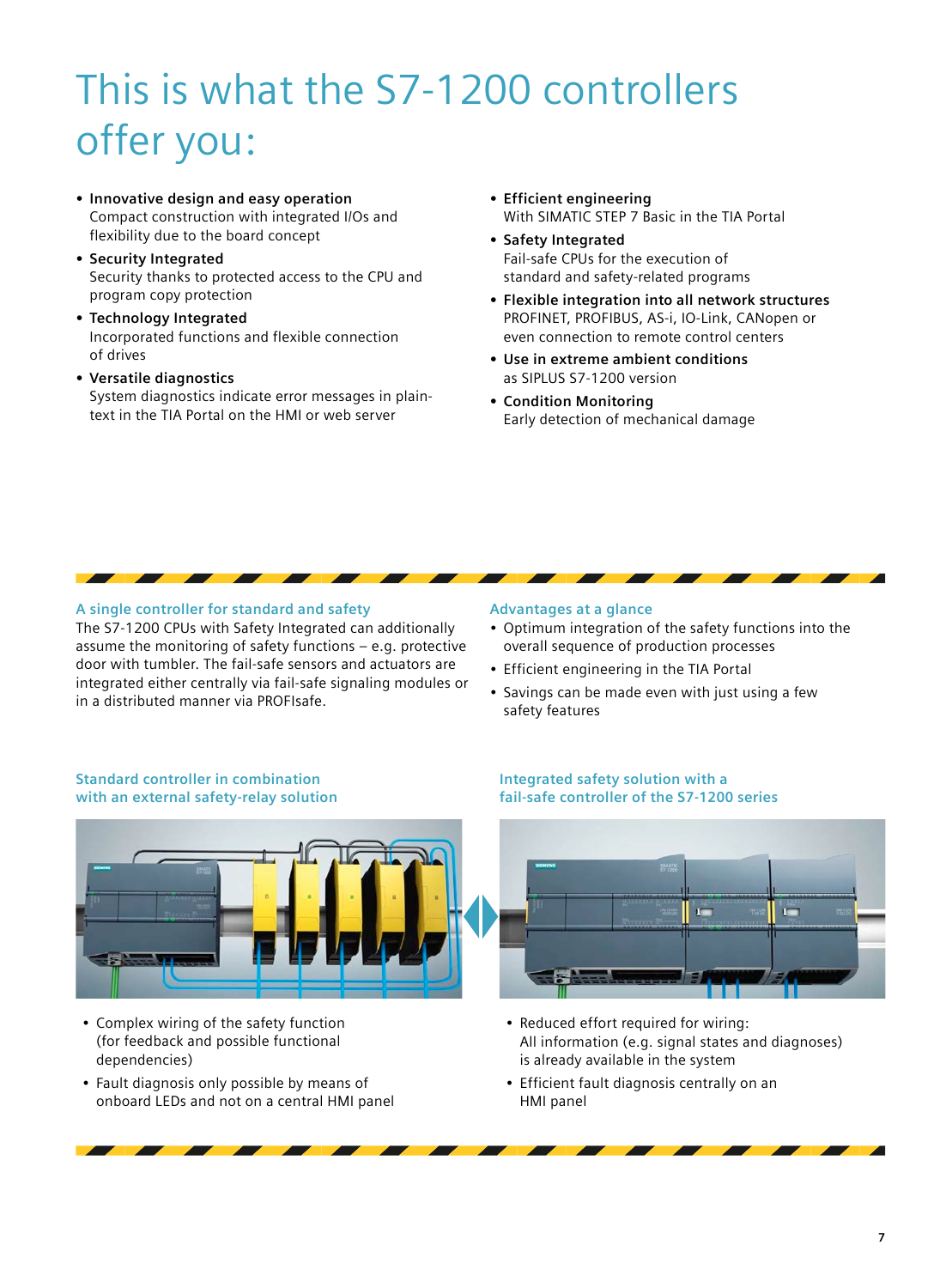# This is what the S7-1200 controllers offer you:

- **Innovative design and easy operation** Compact construction with integrated I/Os and flexibility due to the board concept
- **Security Integrated** Security thanks to protected access to the CPU and program copy protection
- **Technology Integrated** Incorporated functions and flexible connection of drives
- **Versatile diagnostics** System diagnostics indicate error messages in plaintext in the TIA Portal on the HMI or web server
- **Efficient engineering**  With SIMATIC STEP 7 Basic in the TIA Portal
- **Safety Integrated**  Fail-safe CPUs for the execution of standard and safety-related programs
- **Flexible integration into all network structures** PROFINET, PROFIBUS, AS-i, IO-Link, CANopen or even connection to remote control centers
- **Use in extreme ambient conditions** as SIPLUS S7-1200 version
- **Condition Monitoring** Early detection of mechanical damage

#### **A single controller for standard and safety**

The S7-1200 CPUs with Safety Integrated can additionally assume the monitoring of safety functions – e.g. protective door with tumbler. The fail-safe sensors and actuators are integrated either centrally via fail-safe signaling modules or in a distributed manner via PROFIsafe.

#### **Advantages at a glance**

- Optimum integration of the safety functions into the overall sequence of production processes
- Efficient engineering in the TIA Portal
- Savings can be made even with just using a few safety features

#### **Standard controller in combination with an external safety-relay solution**



- Complex wiring of the safety function (for feedback and possible functional dependencies)
- Fault diagnosis only possible by means of onboard LEDs and not on a central HMI panel

#### **Integrated safety solution with a fail-safe controller of the S7-1200 series**



- Reduced effort required for wiring: All information (e.g. signal states and diagnoses) is already available in the system
- Efficient fault diagnosis centrally on an HMI panel